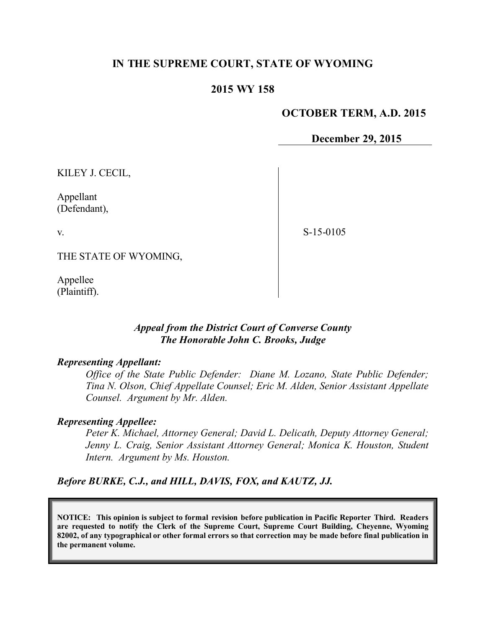# **IN THE SUPREME COURT, STATE OF WYOMING**

### **2015 WY 158**

### **OCTOBER TERM, A.D. 2015**

**December 29, 2015**

KILEY J. CECIL,

Appellant (Defendant),

v.

S-15-0105

THE STATE OF WYOMING,

Appellee (Plaintiff).

### *Appeal from the District Court of Converse County The Honorable John C. Brooks, Judge*

#### *Representing Appellant:*

*Office of the State Public Defender: Diane M. Lozano, State Public Defender; Tina N. Olson, Chief Appellate Counsel; Eric M. Alden, Senior Assistant Appellate Counsel. Argument by Mr. Alden.*

#### *Representing Appellee:*

*Peter K. Michael, Attorney General; David L. Delicath, Deputy Attorney General; Jenny L. Craig, Senior Assistant Attorney General; Monica K. Houston, Student Intern. Argument by Ms. Houston.*

*Before BURKE, C.J., and HILL, DAVIS, FOX, and KAUTZ, JJ.*

**NOTICE: This opinion is subject to formal revision before publication in Pacific Reporter Third. Readers are requested to notify the Clerk of the Supreme Court, Supreme Court Building, Cheyenne, Wyoming 82002, of any typographical or other formal errors so that correction may be made before final publication in the permanent volume.**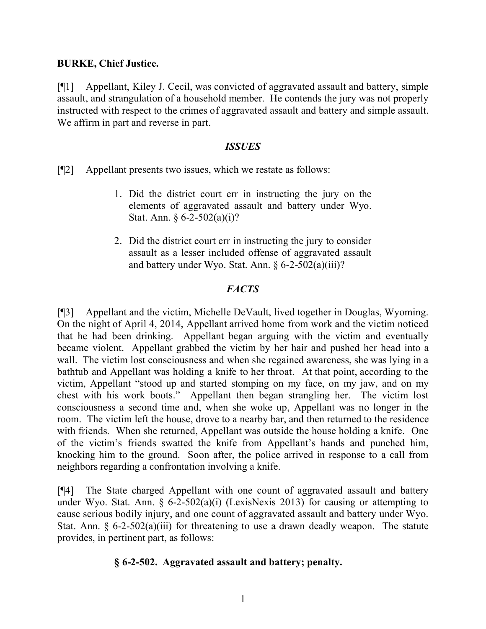# **BURKE, Chief Justice.**

[¶1] Appellant, Kiley J. Cecil, was convicted of aggravated assault and battery, simple assault, and strangulation of a household member. He contends the jury was not properly instructed with respect to the crimes of aggravated assault and battery and simple assault. We affirm in part and reverse in part.

# *ISSUES*

[¶2] Appellant presents two issues, which we restate as follows:

- 1. Did the district court err in instructing the jury on the elements of aggravated assault and battery under Wyo. Stat. Ann. § 6-2-502(a)(i)?
- 2. Did the district court err in instructing the jury to consider assault as a lesser included offense of aggravated assault and battery under Wyo. Stat. Ann. § 6-2-502(a)(iii)?

# *FACTS*

[¶3] Appellant and the victim, Michelle DeVault, lived together in Douglas, Wyoming. On the night of April 4, 2014, Appellant arrived home from work and the victim noticed that he had been drinking. Appellant began arguing with the victim and eventually became violent. Appellant grabbed the victim by her hair and pushed her head into a wall. The victim lost consciousness and when she regained awareness, she was lying in a bathtub and Appellant was holding a knife to her throat. At that point, according to the victim, Appellant "stood up and started stomping on my face, on my jaw, and on my chest with his work boots." Appellant then began strangling her. The victim lost consciousness a second time and, when she woke up, Appellant was no longer in the room. The victim left the house, drove to a nearby bar, and then returned to the residence with friends. When she returned, Appellant was outside the house holding a knife. One of the victim's friends swatted the knife from Appellant's hands and punched him, knocking him to the ground. Soon after, the police arrived in response to a call from neighbors regarding a confrontation involving a knife.

[¶4] The State charged Appellant with one count of aggravated assault and battery under Wyo. Stat. Ann.  $\S$  6-2-502(a)(i) (LexisNexis 2013) for causing or attempting to cause serious bodily injury, and one count of aggravated assault and battery under Wyo. Stat. Ann.  $\S 6$ -2-502(a)(iii) for threatening to use a drawn deadly weapon. The statute provides, in pertinent part, as follows:

# **§ 6-2-502. Aggravated assault and battery; penalty.**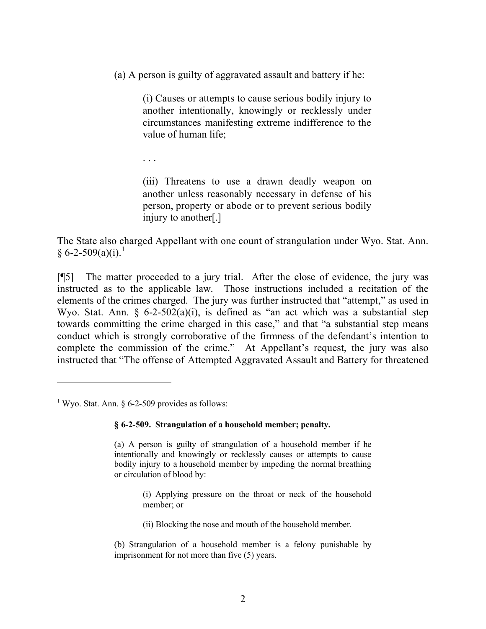(a) A person is guilty of aggravated assault and battery if he:

(i) Causes or attempts to cause serious bodily injury to another intentionally, knowingly or recklessly under circumstances manifesting extreme indifference to the value of human life;

. . .

(iii) Threatens to use a drawn deadly weapon on another unless reasonably necessary in defense of his person, property or abode or to prevent serious bodily injury to another[.]

The State also charged Appellant with one count of strangulation under Wyo. Stat. Ann.  $§ 6 - 2 - 509(a)(i).$ <sup>1</sup>

[¶5] The matter proceeded to a jury trial. After the close of evidence, the jury was instructed as to the applicable law. Those instructions included a recitation of the elements of the crimes charged. The jury was further instructed that "attempt," as used in Wyo. Stat. Ann.  $\frac{6}{2}$ -502(a)(i), is defined as "an act which was a substantial step towards committing the crime charged in this case," and that "a substantial step means conduct which is strongly corroborative of the firmness of the defendant's intention to complete the commission of the crime." At Appellant's request, the jury was also instructed that "The offense of Attempted Aggravated Assault and Battery for threatened

- (i) Applying pressure on the throat or neck of the household member; or
- (ii) Blocking the nose and mouth of the household member.
- (b) Strangulation of a household member is a felony punishable by imprisonment for not more than five (5) years.

<sup>&</sup>lt;sup>1</sup> Wyo. Stat. Ann. § 6-2-509 provides as follows:

**<sup>§ 6-2-509.</sup> Strangulation of a household member; penalty.**

<sup>(</sup>a) A person is guilty of strangulation of a household member if he intentionally and knowingly or recklessly causes or attempts to cause bodily injury to a household member by impeding the normal breathing or circulation of blood by: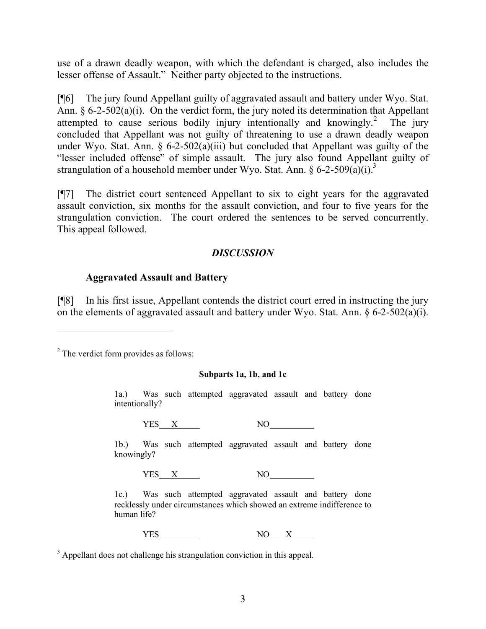use of a drawn deadly weapon, with which the defendant is charged, also includes the lesser offense of Assault." Neither party objected to the instructions.

[¶6] The jury found Appellant guilty of aggravated assault and battery under Wyo. Stat. Ann. § 6-2-502(a)(i). On the verdict form, the jury noted its determination that Appellant attempted to cause serious bodily injury intentionally and knowingly.<sup>2</sup> The jury concluded that Appellant was not guilty of threatening to use a drawn deadly weapon under Wyo. Stat. Ann.  $\S$  6-2-502(a)(iii) but concluded that Appellant was guilty of the "lesser included offense" of simple assault. The jury also found Appellant guilty of strangulation of a household member under Wyo. Stat. Ann. § 6-2-509 $(a)(i)$ .<sup>3</sup>

[¶7] The district court sentenced Appellant to six to eight years for the aggravated assault conviction, six months for the assault conviction, and four to five years for the strangulation conviction. The court ordered the sentences to be served concurrently. This appeal followed.

# *DISCUSSION*

### **Aggravated Assault and Battery**

[¶8] In his first issue, Appellant contends the district court erred in instructing the jury on the elements of aggravated assault and battery under Wyo. Stat. Ann. § 6-2-502(a)(i).

<sup>2</sup> The verdict form provides as follows:

#### **Subparts 1a, 1b, and 1c**

1a.) Was such attempted aggravated assault and battery done intentionally?

YES X NO

1b.) Was such attempted aggravated assault and battery done knowingly?

 $YES \quad X \quad NO$ 

1c.) Was such attempted aggravated assault and battery done recklessly under circumstances which showed an extreme indifference to human life?

YES NO X

<sup>3</sup> Appellant does not challenge his strangulation conviction in this appeal.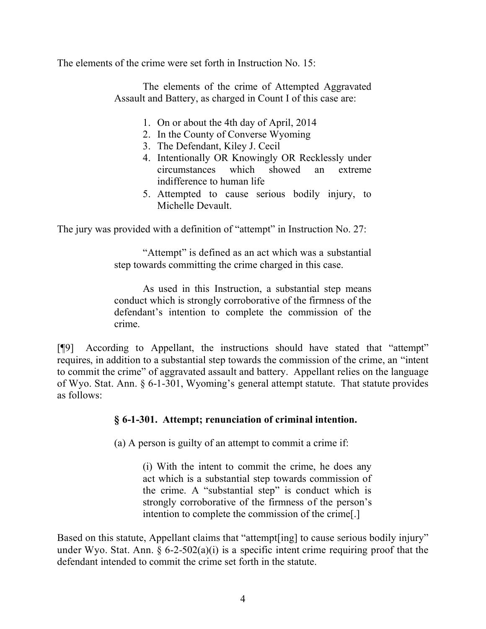The elements of the crime were set forth in Instruction No.  $15<sup>2</sup>$ 

The elements of the crime of Attempted Aggravated Assault and Battery, as charged in Count I of this case are:

- 1. On or about the 4th day of April, 2014
- 2. In the County of Converse Wyoming
- 3. The Defendant, Kiley J. Cecil
- 4. Intentionally OR Knowingly OR Recklessly under circumstances which showed an extreme indifference to human life
- 5. Attempted to cause serious bodily injury, to Michelle Devault.

The jury was provided with a definition of "attempt" in Instruction No. 27:

"Attempt" is defined as an act which was a substantial step towards committing the crime charged in this case.

As used in this Instruction, a substantial step means conduct which is strongly corroborative of the firmness of the defendant's intention to complete the commission of the crime.

[¶9] According to Appellant, the instructions should have stated that "attempt" requires, in addition to a substantial step towards the commission of the crime, an "intent to commit the crime" of aggravated assault and battery. Appellant relies on the language of Wyo. Stat. Ann. § 6-1-301, Wyoming's general attempt statute. That statute provides as follows:

# **§ 6-1-301. Attempt; renunciation of criminal intention.**

(a) A person is guilty of an attempt to commit a crime if:

(i) With the intent to commit the crime, he does any act which is a substantial step towards commission of the crime. A "substantial step" is conduct which is strongly corroborative of the firmness of the person's intention to complete the commission of the crime[.]

Based on this statute, Appellant claims that "attempt [ing] to cause serious bodily injury" under Wyo. Stat. Ann.  $\S 6$ -2-502(a)(i) is a specific intent crime requiring proof that the defendant intended to commit the crime set forth in the statute.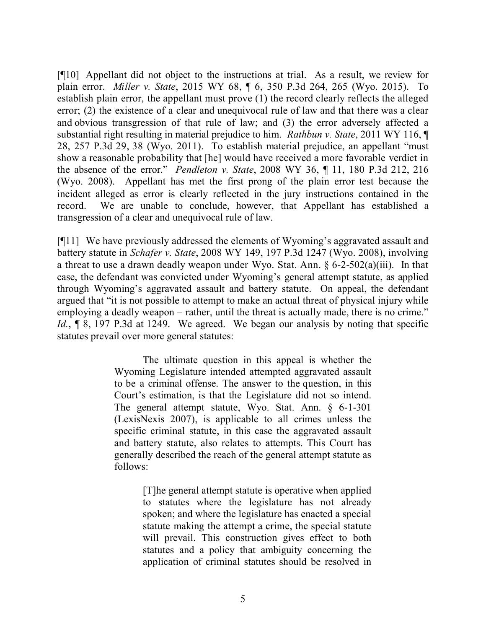[¶10] Appellant did not object to the instructions at trial. As a result, we review for plain error. *Miller v. State*, 2015 WY 68, ¶ 6, 350 P.3d 264, 265 (Wyo. 2015). To establish plain error, the appellant must prove (1) the record clearly reflects the alleged error; (2) the existence of a clear and unequivocal rule of law and that there was a clear and obvious transgression of that rule of law; and (3) the error adversely affected a substantial right resulting in material prejudice to him. *Rathbun v. State*, 2011 WY 116, ¶ 28, 257 P.3d 29, 38 (Wyo. 2011). To establish material prejudice, an appellant "must show a reasonable probability that [he] would have received a more favorable verdict in the absence of the error." *Pendleton v. State*, 2008 WY 36, ¶ 11, 180 P.3d 212, 216 (Wyo. 2008). Appellant has met the first prong of the plain error test because the incident alleged as error is clearly reflected in the jury instructions contained in the record. We are unable to conclude, however, that Appellant has established a transgression of a clear and unequivocal rule of law.

[¶11] We have previously addressed the elements of Wyoming's aggravated assault and battery statute in *Schafer v. State*, 2008 WY 149, 197 P.3d 1247 (Wyo. 2008), involving a threat to use a drawn deadly weapon under Wyo. Stat. Ann. § 6-2-502(a)(iii). In that case, the defendant was convicted under Wyoming's general attempt statute, as applied through Wyoming's aggravated assault and battery statute. On appeal, the defendant argued that "it is not possible to attempt to make an actual threat of physical injury while employing a deadly weapon – rather, until the threat is actually made, there is no crime." *Id.*, **[8, 197 P.3d at 1249.** We agreed. We began our analysis by noting that specific statutes prevail over more general statutes:

> The ultimate question in this appeal is whether the Wyoming Legislature intended attempted aggravated assault to be a criminal offense. The answer to the question, in this Court's estimation, is that the Legislature did not so intend. The general attempt statute, Wyo. Stat. Ann. § 6-1-301 (LexisNexis 2007), is applicable to all crimes unless the specific criminal statute, in this case the aggravated assault and battery statute, also relates to attempts. This Court has generally described the reach of the general attempt statute as follows:

> > [T]he general attempt statute is operative when applied to statutes where the legislature has not already spoken; and where the legislature has enacted a special statute making the attempt a crime, the special statute will prevail. This construction gives effect to both statutes and a policy that ambiguity concerning the application of criminal statutes should be resolved in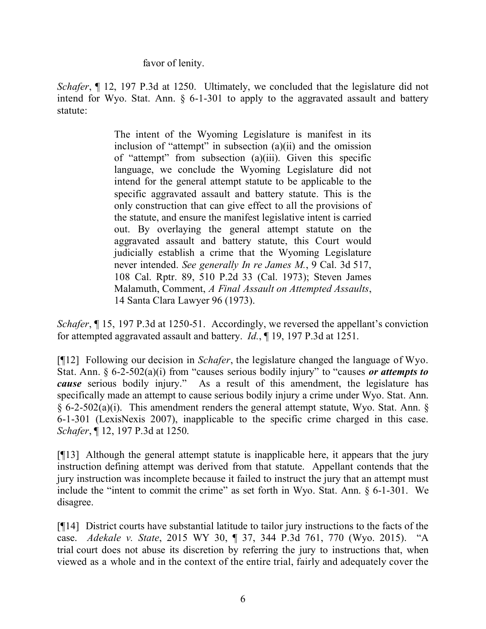favor of lenity.

*Schafer*,  $\P$  12, 197 P.3d at 1250. Ultimately, we concluded that the legislature did not intend for Wyo. Stat. Ann. § 6-1-301 to apply to the aggravated assault and battery statute:

> The intent of the Wyoming Legislature is manifest in its inclusion of "attempt" in subsection (a)(ii) and the omission of "attempt" from subsection (a)(iii). Given this specific language, we conclude the Wyoming Legislature did not intend for the general attempt statute to be applicable to the specific aggravated assault and battery statute. This is the only construction that can give effect to all the provisions of the statute, and ensure the manifest legislative intent is carried out. By overlaying the general attempt statute on the aggravated assault and battery statute, this Court would judicially establish a crime that the Wyoming Legislature never intended. *See generally In re James M.*, 9 Cal. 3d 517, 108 Cal. Rptr. 89, 510 P.2d 33 (Cal. 1973); Steven James Malamuth, Comment, *A Final Assault on Attempted Assaults*, 14 Santa Clara Lawyer 96 (1973).

*Schafer*,  $\P$  15, 197 P.3d at 1250-51. Accordingly, we reversed the appellant's conviction for attempted aggravated assault and battery. *Id.*, ¶ 19, 197 P.3d at 1251.

[¶12] Following our decision in *Schafer*, the legislature changed the language of Wyo. Stat. Ann. § 6-2-502(a)(i) from "causes serious bodily injury" to "causes *or attempts to cause* serious bodily injury." As a result of this amendment, the legislature has specifically made an attempt to cause serious bodily injury a crime under Wyo. Stat. Ann. § 6-2-502(a)(i). This amendment renders the general attempt statute, Wyo. Stat. Ann. § 6-1-301 (LexisNexis 2007), inapplicable to the specific crime charged in this case. *Schafer*, ¶ 12, 197 P.3d at 1250.

[¶13] Although the general attempt statute is inapplicable here, it appears that the jury instruction defining attempt was derived from that statute. Appellant contends that the jury instruction was incomplete because it failed to instruct the jury that an attempt must include the "intent to commit the crime" as set forth in Wyo. Stat. Ann. § 6-1-301. We disagree.

[¶14] District courts have substantial latitude to tailor jury instructions to the facts of the case. *Adekale v. State*, 2015 WY 30, ¶ 37, 344 P.3d 761, 770 (Wyo. 2015). "A trial court does not abuse its discretion by referring the jury to instructions that, when viewed as a whole and in the context of the entire trial, fairly and adequately cover the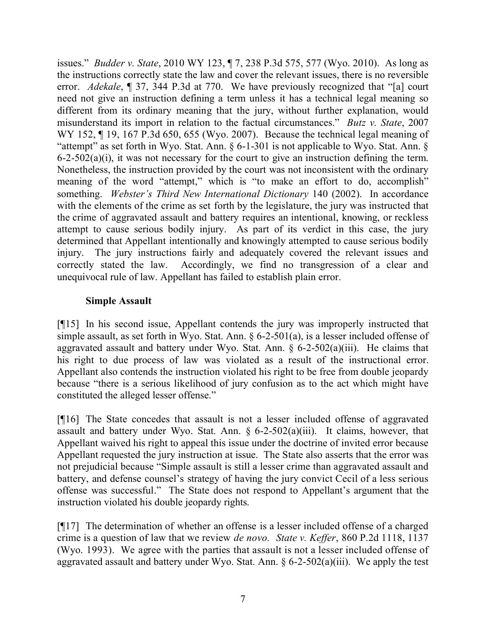issues." *Budder v. State*, 2010 WY 123, ¶ 7, 238 P.3d 575, 577 (Wyo. 2010). As long as the instructions correctly state the law and cover the relevant issues, there is no reversible error. *Adekale*, ¶ 37, 344 P.3d at 770. We have previously recognized that "[a] court need not give an instruction defining a term unless it has a technical legal meaning so different from its ordinary meaning that the jury, without further explanation, would misunderstand its import in relation to the factual circumstances." *Butz v. State*, 2007 WY 152, ¶ 19, 167 P.3d 650, 655 (Wyo. 2007). Because the technical legal meaning of "attempt" as set forth in Wyo. Stat. Ann. § 6-1-301 is not applicable to Wyo. Stat. Ann. § 6-2-502(a)(i), it was not necessary for the court to give an instruction defining the term. Nonetheless, the instruction provided by the court was not inconsistent with the ordinary meaning of the word "attempt," which is "to make an effort to do, accomplish" something. *Webster's Third New International Dictionary* 140 (2002). In accordance with the elements of the crime as set forth by the legislature, the jury was instructed that the crime of aggravated assault and battery requires an intentional, knowing, or reckless attempt to cause serious bodily injury. As part of its verdict in this case, the jury determined that Appellant intentionally and knowingly attempted to cause serious bodily injury. The jury instructions fairly and adequately covered the relevant issues and correctly stated the law. Accordingly, we find no transgression of a clear and unequivocal rule of law. Appellant has failed to establish plain error.

# **Simple Assault**

[¶15] In his second issue, Appellant contends the jury was improperly instructed that simple assault, as set forth in Wyo. Stat. Ann. § 6-2-501(a), is a lesser included offense of aggravated assault and battery under Wyo. Stat. Ann.  $\S$  6-2-502(a)(iii). He claims that his right to due process of law was violated as a result of the instructional error. Appellant also contends the instruction violated his right to be free from double jeopardy because "there is a serious likelihood of jury confusion as to the act which might have constituted the alleged lesser offense."

[¶16] The State concedes that assault is not a lesser included offense of aggravated assault and battery under Wyo. Stat. Ann. § 6-2-502(a)(iii). It claims, however, that Appellant waived his right to appeal this issue under the doctrine of invited error because Appellant requested the jury instruction at issue. The State also asserts that the error was not prejudicial because "Simple assault is still a lesser crime than aggravated assault and battery, and defense counsel's strategy of having the jury convict Cecil of a less serious offense was successful." The State does not respond to Appellant's argument that the instruction violated his double jeopardy rights.

[¶17] The determination of whether an offense is a lesser included offense of a charged crime is a question of law that we review *de novo. State v. Keffer*, 860 P.2d 1118, 1137 (Wyo. 1993). We agree with the parties that assault is not a lesser included offense of aggravated assault and battery under Wyo. Stat. Ann.  $\S 6$ -2-502(a)(iii). We apply the test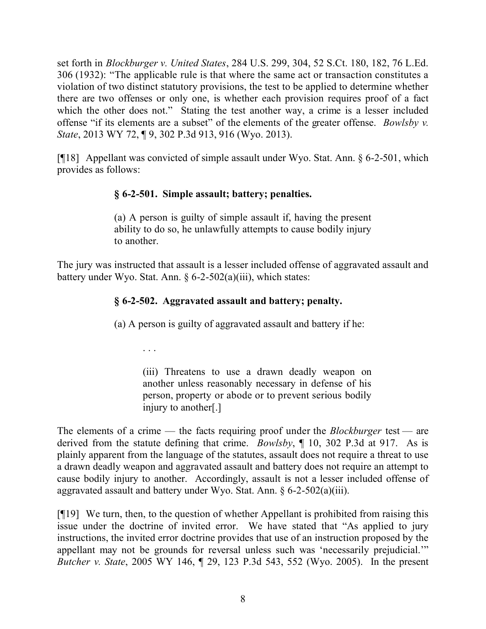set forth in *Blockburger v. United States*, 284 U.S. 299, 304, 52 S.Ct. 180, 182, 76 L.Ed. 306 (1932): "The applicable rule is that where the same act or transaction constitutes a violation of two distinct statutory provisions, the test to be applied to determine whether there are two offenses or only one, is whether each provision requires proof of a fact which the other does not." Stating the test another way, a crime is a lesser included offense "if its elements are a subset" of the elements of the greater offense. *Bowlsby v. State*, 2013 WY 72, ¶ 9, 302 P.3d 913, 916 (Wyo. 2013).

[¶18] Appellant was convicted of simple assault under Wyo. Stat. Ann. § 6-2-501, which provides as follows:

# **§ 6-2-501. Simple assault; battery; penalties.**

(a) A person is guilty of simple assault if, having the present ability to do so, he unlawfully attempts to cause bodily injury to another.

The jury was instructed that assault is a lesser included offense of aggravated assault and battery under Wyo. Stat. Ann.  $\S 6-2-502(a)(iii)$ , which states:

# **§ 6-2-502. Aggravated assault and battery; penalty.**

(a) A person is guilty of aggravated assault and battery if he:

. . .

(iii) Threatens to use a drawn deadly weapon on another unless reasonably necessary in defense of his person, property or abode or to prevent serious bodily injury to another[.]

The elements of a crime — the facts requiring proof under the *Blockburger* test — are derived from the statute defining that crime. *Bowlsby*, ¶ 10, 302 P.3d at 917. As is plainly apparent from the language of the statutes, assault does not require a threat to use a drawn deadly weapon and aggravated assault and battery does not require an attempt to cause bodily injury to another. Accordingly, assault is not a lesser included offense of aggravated assault and battery under Wyo. Stat. Ann. § 6-2-502(a)(iii).

[¶19] We turn, then, to the question of whether Appellant is prohibited from raising this issue under the doctrine of invited error. We have stated that "As applied to jury instructions, the invited error doctrine provides that use of an instruction proposed by the appellant may not be grounds for reversal unless such was 'necessarily prejudicial.'" *Butcher v. State*, 2005 WY 146, ¶ 29, 123 P.3d 543, 552 (Wyo. 2005). In the present